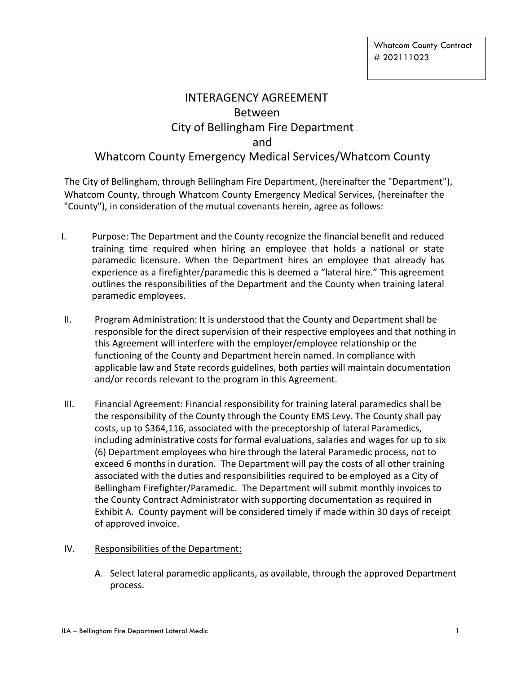# INTERAGENCY AGREEMENT Between City of Bellingham Fire Department and Whatcom County Emergency Medical Services/Whatcom County

The City of Bellingham, through Bellingham Fire Department, (hereinafter the "Department"), Whatcom County, through Whatcom County Emergency Medical Services, (hereinafter the "County"), in consideration of the mutual covenants herein, agree as follows:

- I. Purpose: The Department and the County recognize the financial benefit and reduced training time required when hiring an employee that holds a national or state paramedic licensure. When the Department hires an employee that already has experience as a firefighter/paramedic this is deemed a "lateral hire." This agreement outlines the responsibilities of the Department and the County when training lateral paramedic employees.
- II. Program Administration: It is understood that the County and Department shall be responsible for the direct supervision of their respective employees and that nothing in this Agreement will interfere with the employer/employee relationship or the functioning of the County and Department herein named. In compliance with applicable law and State records guidelines, both parties will maintain documentation and/or records relevant to the program in this Agreement.
- III. Financial Agreement: Financial responsibility for training lateral paramedics shall be the responsibility of the County through the County EMS Levy. The County shall pay costs, up to \$364,116, associated with the preceptorship of lateral Paramedics, including administrative costs for formal evaluations, salaries and wages for up to six (6) Department employees who hire through the lateral Paramedic process, not to exceed 6 months in duration. The Department will pay the costs of all other training associated with the duties and responsibilities required to be employed as a City of Bellingham Firefighter/Paramedic. The Department will submit monthly invoices to the County Contract Administrator with supporting documentation as required in Exhibit A. County payment will be considered timely if made within 30 days of receipt of approved invoice.

## IV. Responsibilities of the Department:

A. Select lateral paramedic applicants, as available, through the approved Department process.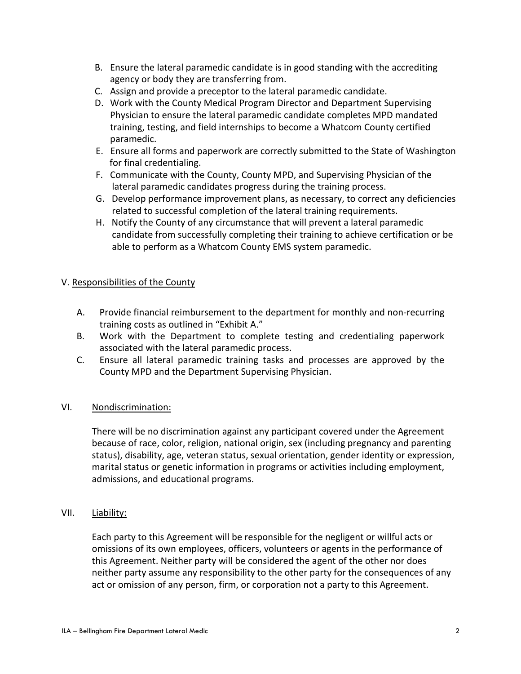- B. Ensure the lateral paramedic candidate is in good standing with the accrediting agency or body they are transferring from.
- C. Assign and provide a preceptor to the lateral paramedic candidate.
- D. Work with the County Medical Program Director and Department Supervising Physician to ensure the lateral paramedic candidate completes MPD mandated training, testing, and field internships to become a Whatcom County certified paramedic.
- E. Ensure all forms and paperwork are correctly submitted to the State of Washington for final credentialing.
- F. Communicate with the County, County MPD, and Supervising Physician of the lateral paramedic candidates progress during the training process.
- G. Develop performance improvement plans, as necessary, to correct any deficiencies related to successful completion of the lateral training requirements.
- H. Notify the County of any circumstance that will prevent a lateral paramedic candidate from successfully completing their training to achieve certification or be able to perform as a Whatcom County EMS system paramedic.

## V. Responsibilities of the County

- A. Provide financial reimbursement to the department for monthly and non-recurring training costs as outlined in "Exhibit A."
- B. Work with the Department to complete testing and credentialing paperwork associated with the lateral paramedic process.
- C. Ensure all lateral paramedic training tasks and processes are approved by the County MPD and the Department Supervising Physician.

## VI. Nondiscrimination:

There will be no discrimination against any participant covered under the Agreement because of race, color, religion, national origin, sex (including pregnancy and parenting status), disability, age, veteran status, sexual orientation, gender identity or expression, marital status or genetic information in programs or activities including employment, admissions, and educational programs.

## VII. Liability:

Each party to this Agreement will be responsible for the negligent or willful acts or omissions of its own employees, officers, volunteers or agents in the performance of this Agreement. Neither party will be considered the agent of the other nor does neither party assume any responsibility to the other party for the consequences of any act or omission of any person, firm, or corporation not a party to this Agreement.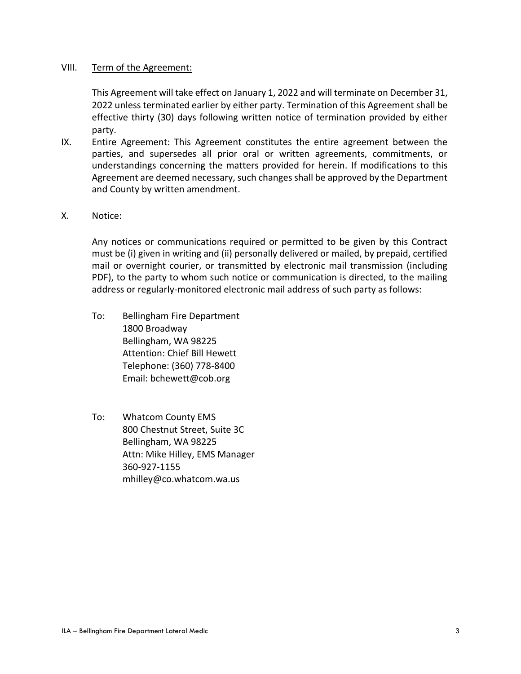#### VIII. Term of the Agreement:

This Agreement will take effect on January 1, 2022 and will terminate on December 31, 2022 unless terminated earlier by either party. Termination of this Agreement shall be effective thirty (30) days following written notice of termination provided by either party.

- IX. Entire Agreement: This Agreement constitutes the entire agreement between the parties, and supersedes all prior oral or written agreements, commitments, or understandings concerning the matters provided for herein. If modifications to this Agreement are deemed necessary, such changes shall be approved by the Department and County by written amendment.
- X. Notice:

Any notices or communications required or permitted to be given by this Contract must be (i) given in writing and (ii) personally delivered or mailed, by prepaid, certified mail or overnight courier, or transmitted by electronic mail transmission (including PDF), to the party to whom such notice or communication is directed, to the mailing address or regularly-monitored electronic mail address of such party as follows:

- To: Bellingham Fire Department 1800 Broadway Bellingham, WA 98225 Attention: Chief Bill Hewett Telephone: (360) 778-8400 Email: bchewett@cob.org
- To: Whatcom County EMS 800 Chestnut Street, Suite 3C Bellingham, WA 98225 Attn: Mike Hilley, EMS Manager 360-927-1155 mhilley@co.whatcom.wa.us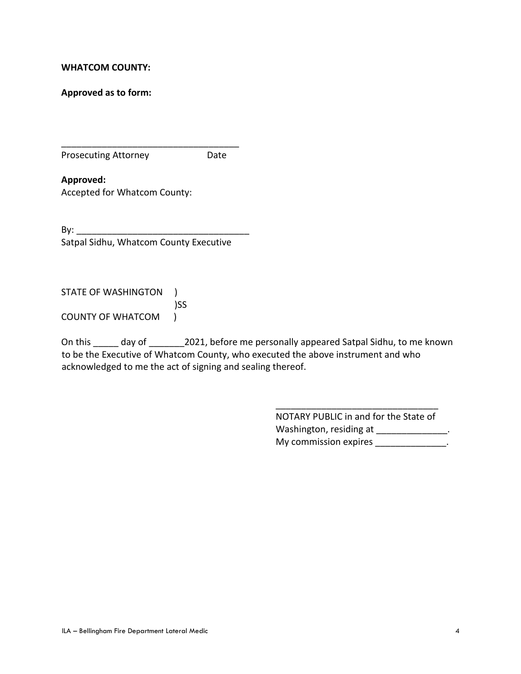#### **WHATCOM COUNTY:**

**Approved as to form:** 

Prosecuting Attorney **Date** 

**Approved:**  Accepted for Whatcom County:

 $\mathsf{By:}$ Satpal Sidhu, Whatcom County Executive

\_\_\_\_\_\_\_\_\_\_\_\_\_\_\_\_\_\_\_\_\_\_\_\_\_\_\_\_\_\_\_\_\_\_\_

STATE OF WASHINGTON )

 )SS COUNTY OF WHATCOM )

On this day of 2021, before me personally appeared Satpal Sidhu, to me known to be the Executive of Whatcom County, who executed the above instrument and who acknowledged to me the act of signing and sealing thereof.

> NOTARY PUBLIC in and for the State of Washington, residing at \_\_\_\_\_\_\_\_\_\_\_\_\_\_\_. My commission expires \_\_\_\_\_\_\_\_\_\_\_\_\_\_\_.

\_\_\_\_\_\_\_\_\_\_\_\_\_\_\_\_\_\_\_\_\_\_\_\_\_\_\_\_\_\_\_\_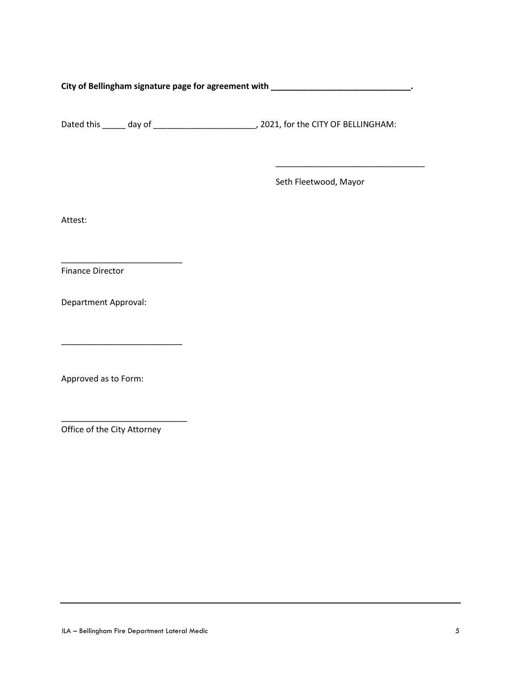**City of Bellingham signature page for agreement with \_\_\_\_\_\_\_\_\_\_\_\_\_\_\_\_\_\_\_\_\_\_\_\_\_\_\_\_\_\_.**

Dated this \_\_\_\_\_ day of \_\_\_\_\_\_\_\_\_\_\_\_\_\_\_\_\_\_\_\_\_\_, 2021, for the CITY OF BELLINGHAM:

Seth Fleetwood, Mayor

\_\_\_\_\_\_\_\_\_\_\_\_\_\_\_\_\_\_\_\_\_\_\_\_\_\_\_\_\_\_\_\_

Attest:

Finance Director

Department Approval:

\_\_\_\_\_\_\_\_\_\_\_\_\_\_\_\_\_\_\_\_\_\_\_\_\_\_

\_\_\_\_\_\_\_\_\_\_\_\_\_\_\_\_\_\_\_\_\_\_\_\_\_\_

Approved as to Form:

Office of the City Attorney

\_\_\_\_\_\_\_\_\_\_\_\_\_\_\_\_\_\_\_\_\_\_\_\_\_\_\_